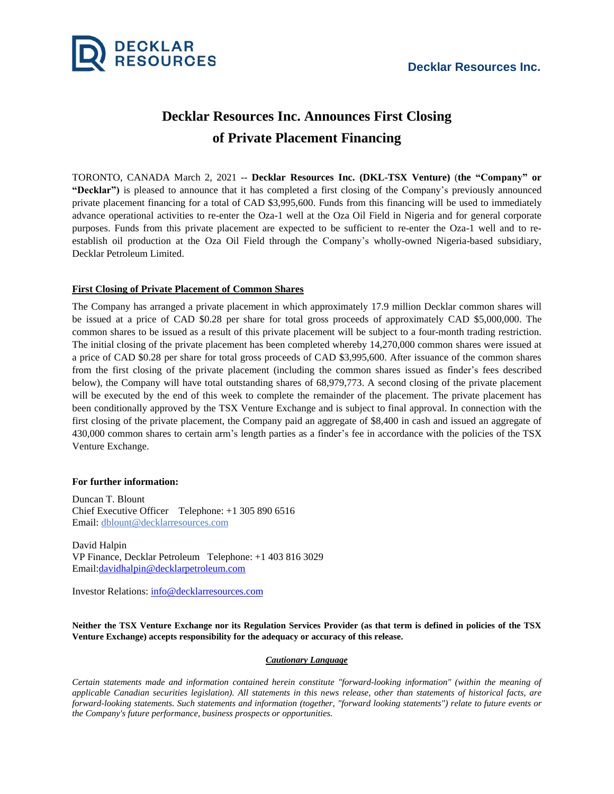

## **Decklar Resources Inc. Announces First Closing of Private Placement Financing**

TORONTO, CANADA March 2, 2021 -- **Decklar Resources Inc. (DKL-TSX Venture)** (**the "Company" or "Decklar")** is pleased to announce that it has completed a first closing of the Company's previously announced private placement financing for a total of CAD \$3,995,600. Funds from this financing will be used to immediately advance operational activities to re-enter the Oza-1 well at the Oza Oil Field in Nigeria and for general corporate purposes. Funds from this private placement are expected to be sufficient to re-enter the Oza-1 well and to reestablish oil production at the Oza Oil Field through the Company's wholly-owned Nigeria-based subsidiary, Decklar Petroleum Limited.

## **First Closing of Private Placement of Common Shares**

The Company has arranged a private placement in which approximately 17.9 million Decklar common shares will be issued at a price of CAD \$0.28 per share for total gross proceeds of approximately CAD \$5,000,000. The common shares to be issued as a result of this private placement will be subject to a four-month trading restriction. The initial closing of the private placement has been completed whereby 14,270,000 common shares were issued at a price of CAD \$0.28 per share for total gross proceeds of CAD \$3,995,600. After issuance of the common shares from the first closing of the private placement (including the common shares issued as finder's fees described below), the Company will have total outstanding shares of 68,979,773. A second closing of the private placement will be executed by the end of this week to complete the remainder of the placement. The private placement has been conditionally approved by the TSX Venture Exchange and is subject to final approval. In connection with the first closing of the private placement, the Company paid an aggregate of \$8,400 in cash and issued an aggregate of 430,000 common shares to certain arm's length parties as a finder's fee in accordance with the policies of the TSX Venture Exchange.

## **For further information:**

Duncan T. Blount Chief Executive Officer Telephone: +1 305 890 6516 Email: [dblount@decklarresources.com](mailto:dblount@decklarresources.com)

David Halpin VP Finance, Decklar Petroleum Telephone: +1 403 816 3029 Email[:davidhalpin@decklarpetroleum.com](mailto:davidhalpin@decklarpetroleum.com)

Investor Relations: [info@decklarresources.com](mailto:info@decklarresources.com)

Neither the TSX Venture Exchange nor its Regulation Services Provider (as that term is defined in policies of the TSX **Venture Exchange) accepts responsibility for the adequacy or accuracy of this release.**

## *Cautionary Language*

*Certain statements made and information contained herein constitute "forward-looking information" (within the meaning of* applicable Canadian securities legislation). All statements in this news release, other than statements of historical facts, are forward-looking statements. Such statements and information (together, "forward looking statements") relate to future events or *the Company's future performance, business prospects or opportunities.*